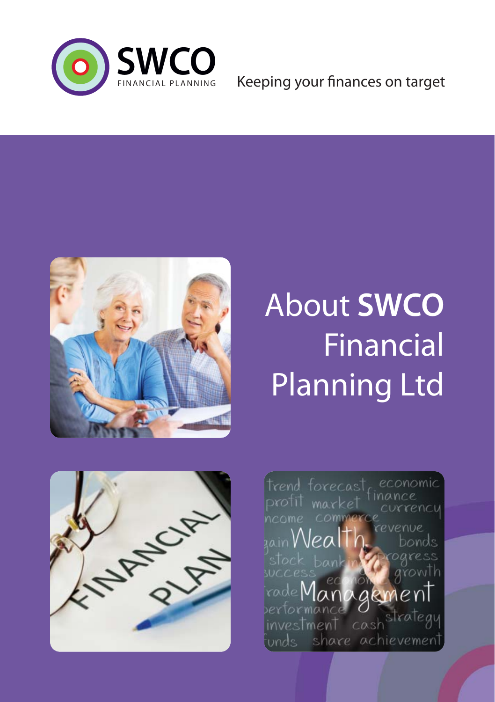

Keeping your finances on target



# About **SWCO** Financial Planning Ltd



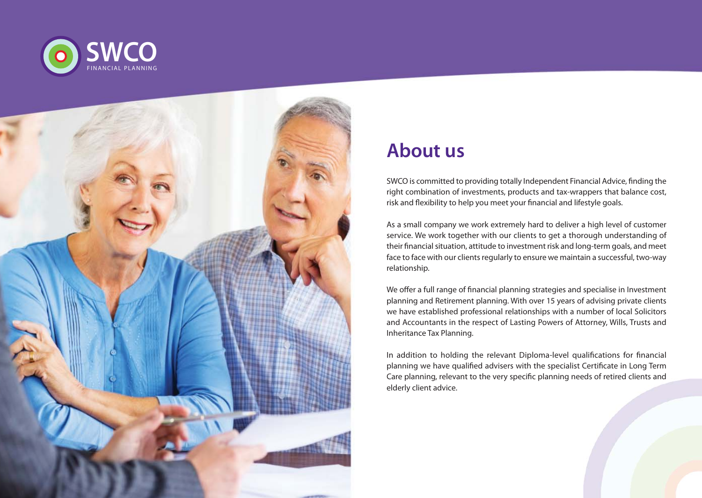



#### **About us**

SWCO is committed to providing totally Independent Financial Advice, finding the right combination of investments, products and tax-wrappers that balance cost, risk and flexibility to help you meet your financial and lifestyle goals.

As a small company we work extremely hard to deliver a high level of customer service. We work together with our clients to get a thorough understanding of their financial situation, attitude to investment risk and long-term goals, and meet face to face with our clients regularly to ensure we maintain a successful, two-way relationship.

We offer a full range of financial planning strategies and specialise in Investment planning and Retirement planning. With over 15 years of advising private clients we have established professional relationships with a number of local Solicitors and Accountants in the respect of Lasting Powers of Attorney, Wills, Trusts and Inheritance Tax Planning.

In addition to holding the relevant Diploma-level qualifications for financial planning we have qualified advisers with the specialist Certificate in Long Term Care planning, relevant to the very specific planning needs of retired clients and elderly client advice.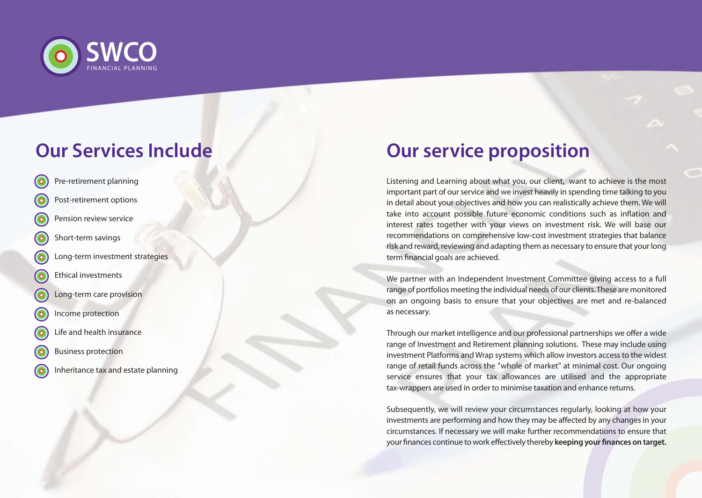

### **Our Services Include**

- Pre-retirement planning
- Post-retirement options
- Pension review service
- Short-term savings
- Long-term investment strategies
- Ethical investments
- Long-term care provision
- Income protection
- Life and health insurance
- Business protection
- Inheritance tax and estate planning

### **Our service proposition**

Listening and Learning about what you, our client, want to achieve is the most important part of our service and we invest heavily in spending time talking to you in detail about your objectives and how you can realistically achieve them. We will take into account possible future economic conditions such as inflation and interest rates together with your views on investment risk. We will base our recommendations on comprehensive low-cost investment strategies that balance risk and reward, reviewing and adapting them as necessary to ensure that your long term financial goals are achieved.

We partner with an Independent Investment Committee giving access to a full range of portfolios meeting the individual needs of our clients. These are monitored on an ongoing basis to ensure that your objectives are met and re-balanced as necessary.

Through our market intelligence and our professional partnerships we offer a wide range of Investment and Retirement planning solutions. These may include using investment Platforms and Wrap systems which allow investors access to the widest range of retail funds across the "whole of market" at minimal cost. Our ongoing service ensures that your tax allowances are utilised and the appropriate tax-wrappers are used in order to minimise taxation and enhance returns.

Subsequently, we will review your circumstances regularly, looking at how your investments are performing and how they may be affected by any changes in your circumstances. If necessary we will make further recommendations to ensure that your finances continue to work effectively thereby **keeping your finances on target.**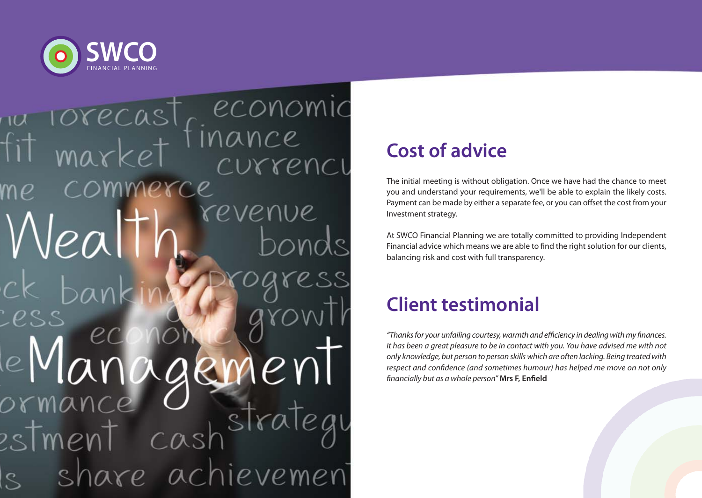

economic orecas rrenci  $ce$ revenue lea ievemen  $\alpha$ <sub>C</sub>

### **Cost of advice**

The initial meeting is without obligation. Once we have had the chance to meet you and understand your requirements, we'll be able to explain the likely costs. Payment can be made by either a separate fee, or you can offset the cost from your Investment strategy.

At SWCO Financial Planning we are totally committed to providing Independent Financial advice which means we are able to find the right solution for our clients, balancing risk and cost with full transparency.

## **Client testimonial**

"Thanks for your unfailing courtesy, warmth and efficiency in dealing with my finances. It has been a great pleasure to be in contact with you. You have advised me with not only knowledge, but person to person skills which are often lacking. Being treated with respect and confidence (and sometimes humour) has helped me move on not only financially but as a whole person" **Mrs F, Enfield**